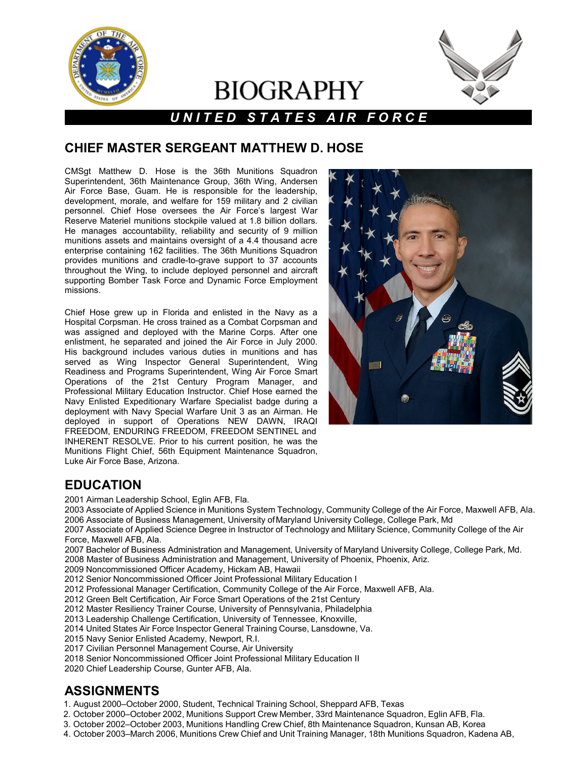

# **BIOGRAPHY**



## *U N I T E D S T A T E S A I R F O R C E*

#### **CHIEF MASTER SERGEANT MATTHEW D. HOSE**

CMSgt Matthew D. Hose is the 36th Munitions Squadron Superintendent, 36th Maintenance Group, 36th Wing, Andersen Air Force Base, Guam. He is responsible for the leadership, development, morale, and welfare for 159 military and 2 civilian personnel. Chief Hose oversees the Air Force's largest War Reserve Materiel munitions stockpile valued at 1.8 billion dollars. He manages accountability, reliability and security of 9 million munitions assets and maintains oversight of a 4.4 thousand acre enterprise containing 162 facilities. The 36th Munitions Squadron provides munitions and cradle-to-grave support to 37 accounts throughout the Wing, to include deployed personnel and aircraft supporting Bomber Task Force and Dynamic Force Employment missions.

Chief Hose grew up in Florida and enlisted in the Navy as a Hospital Corpsman. He cross trained as a Combat Corpsman and was assigned and deployed with the Marine Corps. After one enlistment, he separated and joined the Air Force in July 2000. His background includes various duties in munitions and has served as Wing Inspector General Superintendent, Wing Readiness and Programs Superintendent, Wing Air Force Smart Operations of the 21st Century Program Manager, and Professional Military Education Instructor. Chief Hose earned the Navy Enlisted Expeditionary Warfare Specialist badge during a deployment with Navy Special Warfare Unit 3 as an Airman. He deployed in support of Operations NEW DAWN, IRAQI FREEDOM, ENDURING FREEDOM, FREEDOM SENTINEL and INHERENT RESOLVE. Prior to his current position, he was the Munitions Flight Chief, 56th Equipment Maintenance Squadron, Luke Air Force Base, Arizona.



#### **EDUCATION**

2001 Airman Leadership School, Eglin AFB, Fla.

2003 Associate of Applied Science in Munitions System Technology, Community College of the Air Force, Maxwell AFB, Ala. 2006 Associate of Business Management, University ofMaryland University College, College Park, Md

2007 Associate of Applied Science Degree in Instructor of Technology and Military Science, Community College of the Air Force, Maxwell AFB, Ala.

2007 Bachelor of Business Administration and Management, University of Maryland University College, College Park, Md.

- 2008 Master of Business Administration and Management, University of Phoenix, Phoenix, Ariz.
- 2009 Noncommissioned Officer Academy, Hickam AB, Hawaii

2012 Senior Noncommissioned Officer Joint Professional Military Education I

- 2012 Professional Manager Certification, Community College of the Air Force, Maxwell AFB, Ala.
- 2012 Green Belt Certification, Air Force Smart Operations of the 21st Century
- 2012 Master Resiliency Trainer Course, University of Pennsylvania, Philadelphia
- 2013 Leadership Challenge Certification, University of Tennessee, Knoxville,
- 2014 United States Air Force Inspector General Training Course, Lansdowne, Va.
- 2015 Navy Senior Enlisted Academy, Newport, R.I.
- 2017 Civilian Personnel Management Course, Air University
- 2018 Senior Noncommissioned Officer Joint Professional Military Education II

2020 Chief Leadership Course, Gunter AFB, Ala.

#### **ASSIGNMENTS**

- 1. August 2000–October 2000, Student, Technical Training School, Sheppard AFB, Texas
- 2. October 2000–October 2002, Munitions Support Crew Member, 33rd Maintenance Squadron, Eglin AFB, Fla.
- 3. October 2002–October 2003, Munitions Handling Crew Chief, 8th Maintenance Squadron, Kunsan AB, Korea
- 4. October 2003–March 2006, Munitions Crew Chief and Unit Training Manager, 18th Munitions Squadron, Kadena AB,